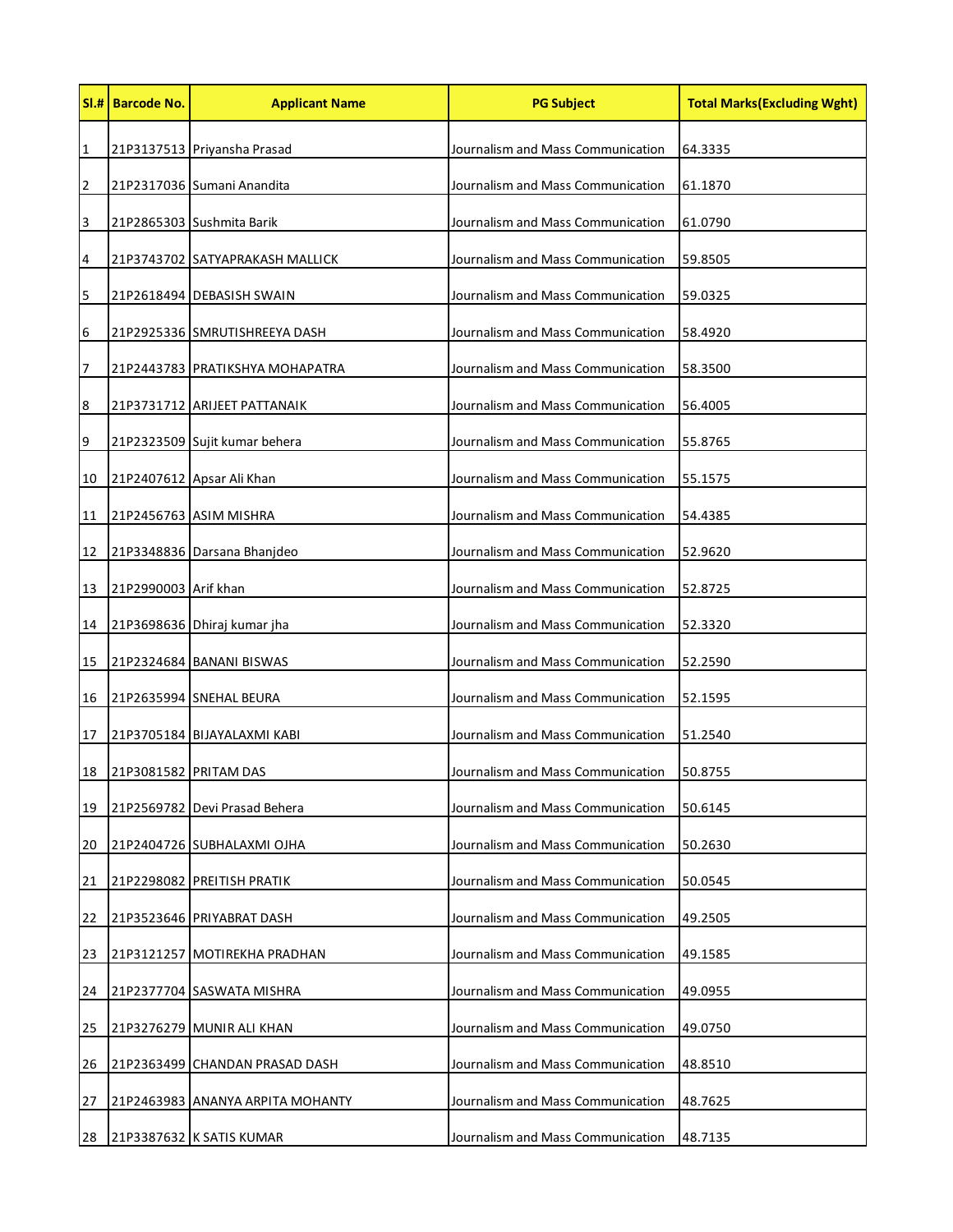|                | SI.# Barcode No.      | <b>Applicant Name</b>           | <b>PG Subject</b>                 | <b>Total Marks (Excluding Wght)</b> |
|----------------|-----------------------|---------------------------------|-----------------------------------|-------------------------------------|
| $\mathbf{1}$   |                       | 21P3137513 Priyansha Prasad     | Journalism and Mass Communication | 64.3335                             |
| 2              |                       | 21P2317036 Sumani Anandita      | Journalism and Mass Communication | 61.1870                             |
| $\mathbf{3}$   |                       | 21P2865303 Sushmita Barik       | Journalism and Mass Communication | 61.0790                             |
| 4              |                       | 21P3743702 SATYAPRAKASH MALLICK | Journalism and Mass Communication | 59.8505                             |
| 5              |                       | 21P2618494 DEBASISH SWAIN       | Journalism and Mass Communication | 59.0325                             |
| 6              |                       | 21P2925336 SMRUTISHREEYA DASH   | Journalism and Mass Communication | 58.4920                             |
| $\overline{7}$ |                       | 21P2443783 PRATIKSHYA MOHAPATRA | Journalism and Mass Communication | 58.3500                             |
| 8              |                       | 21P3731712 ARIJEET PATTANAIK    | Journalism and Mass Communication | 56.4005                             |
| 9              |                       | 21P2323509 Sujit kumar behera   | Journalism and Mass Communication | 55.8765                             |
| 10             |                       | 21P2407612 Apsar Ali Khan       | Journalism and Mass Communication | 55.1575                             |
| 11             |                       | 21P2456763 ASIM MISHRA          | Journalism and Mass Communication | 54.4385                             |
| 12             |                       | 21P3348836 Darsana Bhanjdeo     | Journalism and Mass Communication | 52.9620                             |
| 13             | 21P2990003 Arif khan  |                                 | Journalism and Mass Communication | 52.8725                             |
| 14             |                       | 21P3698636 Dhiraj kumar jha     | Journalism and Mass Communication | 52.3320                             |
| 15             |                       | 21P2324684 BANANI BISWAS        | Journalism and Mass Communication | 52.2590                             |
| 16             |                       | 21P2635994 SNEHAL BEURA         | Journalism and Mass Communication | 52.1595                             |
| 17             |                       | 21P3705184 BIJAYALAXMI KABI     | Journalism and Mass Communication | 51.2540                             |
| 18             | 21P3081582 PRITAM DAS |                                 | Journalism and Mass Communication | 50.8755                             |
| 19             |                       | 21P2569782 Devi Prasad Behera   | Journalism and Mass Communication | 50.6145                             |
| 20             |                       | 21P2404726 SUBHALAXMI OJHA      | Journalism and Mass Communication | 50.2630                             |
| 21             | 21P2298082            | PREITISH PRATIK                 | Journalism and Mass Communication | 50.0545                             |
| 22             | 21P3523646            | PRIYABRAT DASH                  | Journalism and Mass Communication | 49.2505                             |
| 23             | 21P3121257            | MOTIREKHA PRADHAN               | Journalism and Mass Communication | 49.1585                             |
| 24             | 21P2377704            | <b>SASWATA MISHRA</b>           | Journalism and Mass Communication | 49.0955                             |
| 25             | 21P3276279            | MUNIR ALI KHAN                  | Journalism and Mass Communication | 49.0750                             |
| 26             | 21P2363499            | CHANDAN PRASAD DASH             | Journalism and Mass Communication | 48.8510                             |
| 27             | 21P2463983            | ANANYA ARPITA MOHANTY           | Journalism and Mass Communication | 48.7625                             |
| 28             |                       | 21P3387632 K SATIS KUMAR        | Journalism and Mass Communication | 48.7135                             |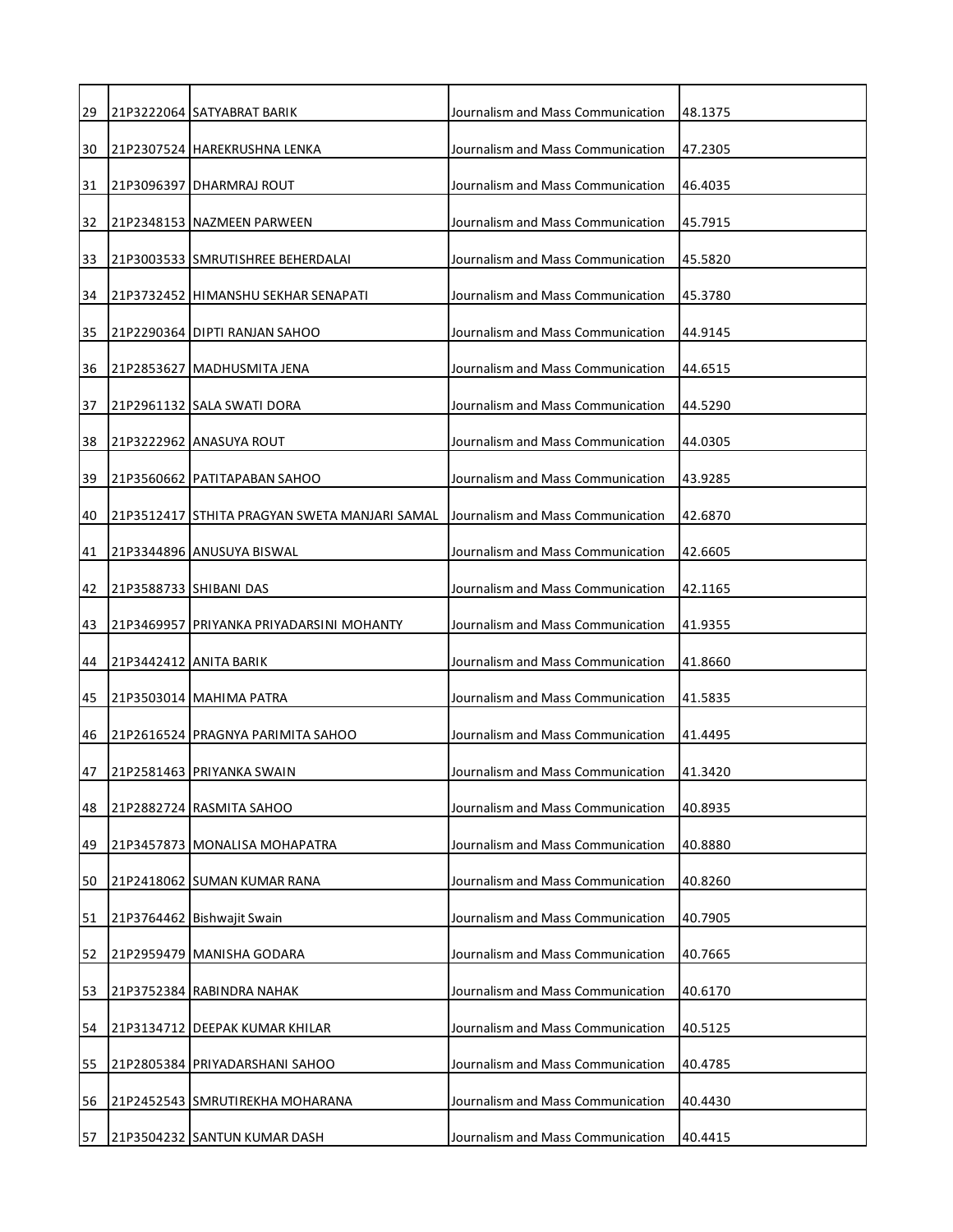| 29 | 21P3222064 SATYABRAT BARIK                    | Journalism and Mass Communication | 48.1375 |
|----|-----------------------------------------------|-----------------------------------|---------|
| 30 | 21P2307524   HAREKRUSHNA LENKA                | Journalism and Mass Communication | 47.2305 |
| 31 | 21P3096397 DHARMRAJ ROUT                      | Journalism and Mass Communication | 46.4035 |
| 32 | 21P2348153 NAZMEEN PARWEEN                    | Journalism and Mass Communication | 45.7915 |
| 33 | 21P3003533 SMRUTISHREE BEHERDALAI             | Journalism and Mass Communication | 45.5820 |
| 34 | 21P3732452 HIMANSHU SEKHAR SENAPATI           | Journalism and Mass Communication | 45.3780 |
| 35 | 21P2290364 DIPTI RANJAN SAHOO                 | Journalism and Mass Communication | 44.9145 |
| 36 | 21P2853627 MADHUSMITA JENA                    | Journalism and Mass Communication | 44.6515 |
| 37 | 21P2961132 SALA SWATI DORA                    | Journalism and Mass Communication | 44.5290 |
| 38 | 21P3222962 ANASUYA ROUT                       | Journalism and Mass Communication | 44.0305 |
| 39 | 21P3560662 PATITAPABAN SAHOO                  | Journalism and Mass Communication | 43.9285 |
| 40 | 21P3512417 STHITA PRAGYAN SWETA MANJARI SAMAL | Journalism and Mass Communication | 42.6870 |
| 41 | 21P3344896 ANUSUYA BISWAL                     | Journalism and Mass Communication | 42.6605 |
| 42 | 21P3588733 SHIBANI DAS                        | Journalism and Mass Communication | 42.1165 |
| 43 | 21P3469957 PRIYANKA PRIYADARSINI MOHANTY      | Journalism and Mass Communication | 41.9355 |
| 44 | 21P3442412 ANITA BARIK                        | Journalism and Mass Communication | 41.8660 |
| 45 | 21P3503014 MAHIMA PATRA                       | Journalism and Mass Communication | 41.5835 |
| 46 | 21P2616524 PRAGNYA PARIMITA SAHOO             | Journalism and Mass Communication | 41.4495 |
| 47 | 21P2581463 PRIYANKA SWAIN                     | Journalism and Mass Communication | 41.3420 |
| 48 | 21P2882724 RASMITA SAHOO                      | Journalism and Mass Communication | 40.8935 |
| 49 | 21P3457873 MONALISA MOHAPATRA                 | Journalism and Mass Communication | 40.8880 |
| 50 | 21P2418062 SUMAN KUMAR RANA                   | Journalism and Mass Communication | 40.8260 |
| 51 | 21P3764462 Bishwajit Swain                    | Journalism and Mass Communication | 40.7905 |
| 52 | 21P2959479 MANISHA GODARA                     | Journalism and Mass Communication | 40.7665 |
| 53 | 21P3752384 RABINDRA NAHAK                     | Journalism and Mass Communication | 40.6170 |
| 54 | 21P3134712 DEEPAK KUMAR KHILAR                | Journalism and Mass Communication | 40.5125 |
| 55 | 21P2805384 PRIYADARSHANI SAHOO                | Journalism and Mass Communication | 40.4785 |
| 56 | 21P2452543 SMRUTIREKHA MOHARANA               | Journalism and Mass Communication | 40.4430 |
| 57 | 21P3504232 SANTUN KUMAR DASH                  | Journalism and Mass Communication | 40.4415 |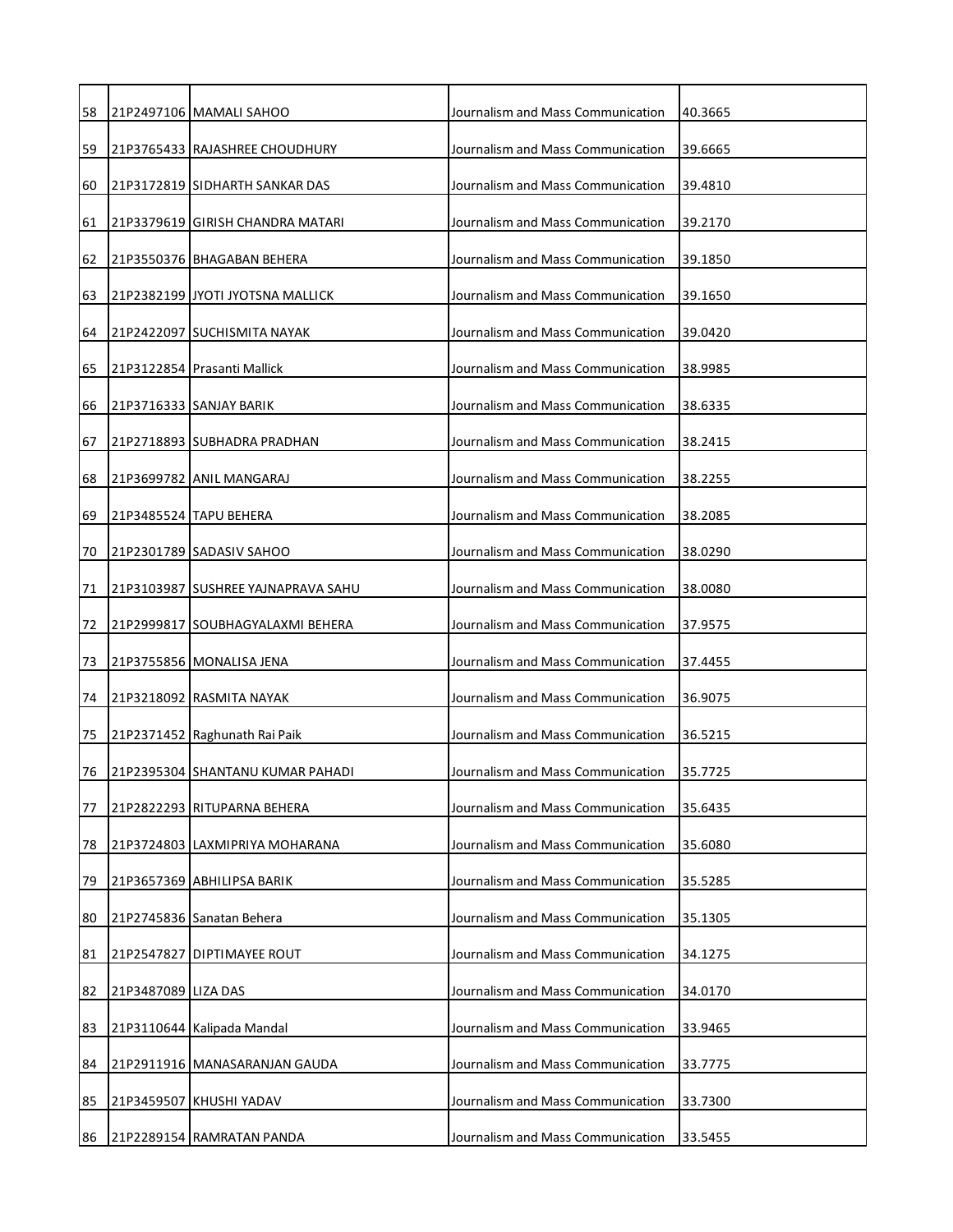| 58 |                     | 21P2497106 MAMALI SAHOO            | Journalism and Mass Communication | 40.3665 |
|----|---------------------|------------------------------------|-----------------------------------|---------|
| 59 |                     | 21P3765433 RAJASHREE CHOUDHURY     | Journalism and Mass Communication | 39.6665 |
| 60 |                     | 21P3172819 SIDHARTH SANKAR DAS     | Journalism and Mass Communication | 39.4810 |
| 61 |                     | 21P3379619 GIRISH CHANDRA MATARI   | Journalism and Mass Communication | 39.2170 |
| 62 |                     | 21P3550376 BHAGABAN BEHERA         | Journalism and Mass Communication | 39.1850 |
| 63 |                     | 21P2382199 JYOTI JYOTSNA MALLICK   | Journalism and Mass Communication | 39.1650 |
| 64 |                     | 21P2422097 SUCHISMITA NAYAK        | Journalism and Mass Communication | 39.0420 |
| 65 |                     | 21P3122854 Prasanti Mallick        | Journalism and Mass Communication | 38.9985 |
| 66 |                     | 21P3716333 SANJAY BARIK            | Journalism and Mass Communication | 38.6335 |
| 67 |                     | 21P2718893 SUBHADRA PRADHAN        | Journalism and Mass Communication | 38.2415 |
| 68 |                     | 21P3699782 ANIL MANGARAJ           | Journalism and Mass Communication | 38.2255 |
| 69 |                     | 21P3485524 TAPU BEHERA             | Journalism and Mass Communication | 38.2085 |
| 70 |                     | 21P2301789 SADASIV SAHOO           | Journalism and Mass Communication | 38.0290 |
| 71 |                     | 21P3103987 SUSHREE YAJNAPRAVA SAHU | Journalism and Mass Communication | 38.0080 |
| 72 |                     | 21P2999817 SOUBHAGYALAXMI BEHERA   | Journalism and Mass Communication | 37.9575 |
| 73 |                     | 21P3755856 MONALISA JENA           | Journalism and Mass Communication | 37.4455 |
| 74 |                     | 21P3218092 RASMITA NAYAK           | Journalism and Mass Communication | 36.9075 |
| 75 |                     | 21P2371452 Raghunath Rai Paik      | Journalism and Mass Communication | 36.5215 |
| 76 |                     | 21P2395304 SHANTANU KUMAR PAHADI   | Journalism and Mass Communication | 35.7725 |
| 77 |                     | 21P2822293 RITUPARNA BEHERA        | Journalism and Mass Communication | 35.6435 |
| 78 |                     | 21P3724803 LAXMIPRIYA MOHARANA     | Journalism and Mass Communication | 35.6080 |
| 79 |                     | 21P3657369 ABHILIPSA BARIK         | Journalism and Mass Communication | 35.5285 |
| 80 |                     | 21P2745836 Sanatan Behera          | Journalism and Mass Communication | 35.1305 |
| 81 |                     | 21P2547827 DIPTIMAYEE ROUT         | Journalism and Mass Communication | 34.1275 |
| 82 | 21P3487089 LIZA DAS |                                    | Journalism and Mass Communication | 34.0170 |
| 83 |                     | 21P3110644 Kalipada Mandal         | Journalism and Mass Communication | 33.9465 |
| 84 |                     | 21P2911916 MANASARANJAN GAUDA      | Journalism and Mass Communication | 33.7775 |
| 85 |                     | 21P3459507 KHUSHI YADAV            | Journalism and Mass Communication | 33.7300 |
| 86 |                     | 21P2289154 RAMRATAN PANDA          | Journalism and Mass Communication | 33.5455 |